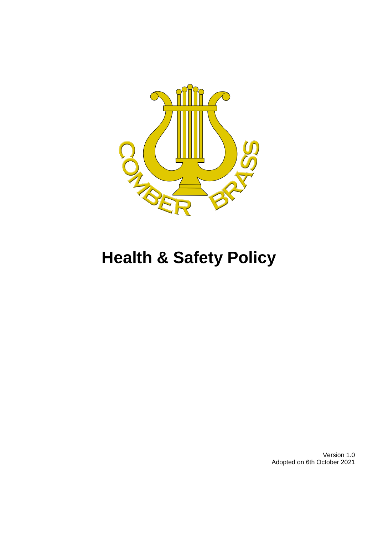

# **Health & Safety Policy**

Version 1.0 Adopted on 6th October 2021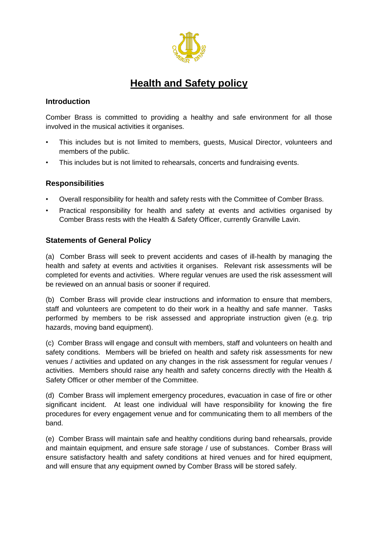

## **Health and Safety policy**

#### **Introduction**

Comber Brass is committed to providing a healthy and safe environment for all those involved in the musical activities it organises.

- This includes but is not limited to members, guests, Musical Director, volunteers and members of the public.
- This includes but is not limited to rehearsals, concerts and fundraising events.

#### **Responsibilities**

- Overall responsibility for health and safety rests with the Committee of Comber Brass.
- Practical responsibility for health and safety at events and activities organised by Comber Brass rests with the Health & Safety Officer, currently Granville Lavin.

#### **Statements of General Policy**

(a) Comber Brass will seek to prevent accidents and cases of ill-health by managing the health and safety at events and activities it organises. Relevant risk assessments will be completed for events and activities. Where regular venues are used the risk assessment will be reviewed on an annual basis or sooner if required.

(b) Comber Brass will provide clear instructions and information to ensure that members, staff and volunteers are competent to do their work in a healthy and safe manner. Tasks performed by members to be risk assessed and appropriate instruction given (e.g. trip hazards, moving band equipment).

(c) Comber Brass will engage and consult with members, staff and volunteers on health and safety conditions. Members will be briefed on health and safety risk assessments for new venues / activities and updated on any changes in the risk assessment for regular venues / activities. Members should raise any health and safety concerns directly with the Health & Safety Officer or other member of the Committee.

(d) Comber Brass will implement emergency procedures, evacuation in case of fire or other significant incident. At least one individual will have responsibility for knowing the fire procedures for every engagement venue and for communicating them to all members of the band.

(e) Comber Brass will maintain safe and healthy conditions during band rehearsals, provide and maintain equipment, and ensure safe storage / use of substances. Comber Brass will ensure satisfactory health and safety conditions at hired venues and for hired equipment, and will ensure that any equipment owned by Comber Brass will be stored safely.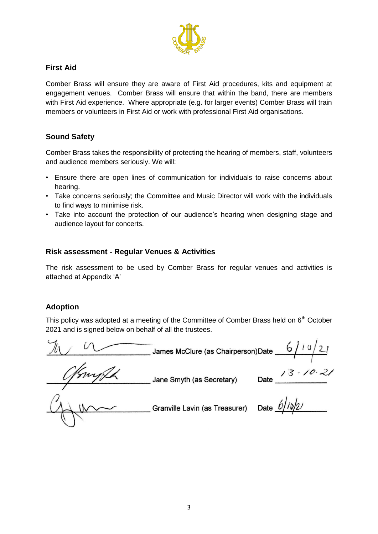

#### **First Aid**

Comber Brass will ensure they are aware of First Aid procedures, kits and equipment at engagement venues. Comber Brass will ensure that within the band, there are members with First Aid experience. Where appropriate (e.g. for larger events) Comber Brass will train members or volunteers in First Aid or work with professional First Aid organisations.

#### **Sound Safety**

Comber Brass takes the responsibility of protecting the hearing of members, staff, volunteers and audience members seriously. We will:

- Ensure there are open lines of communication for individuals to raise concerns about hearing.
- Take concerns seriously; the Committee and Music Director will work with the individuals to find ways to minimise risk.
- Take into account the protection of our audience's hearing when designing stage and audience layout for concerts.

#### **Risk assessment - Regular Venues & Activities**

The risk assessment to be used by Comber Brass for regular venues and activities is attached at Appendix 'A'

#### **Adoption**

This policy was adopted at a meeting of the Committee of Comber Brass held on  $6<sup>th</sup>$  October 2021 and is signed below on behalf of all the trustees.

 $\frac{1}{2}$ James McClure (as Chairperson)Date  $\frac{6/10/21}{2}$ 

Jane Smyth (as Secretary)

Date  $\frac{13 \cdot 10 \cdot 21}{2}$ 

Granville Lavin (as Treasurer) Date  $\frac{6}{10^2}$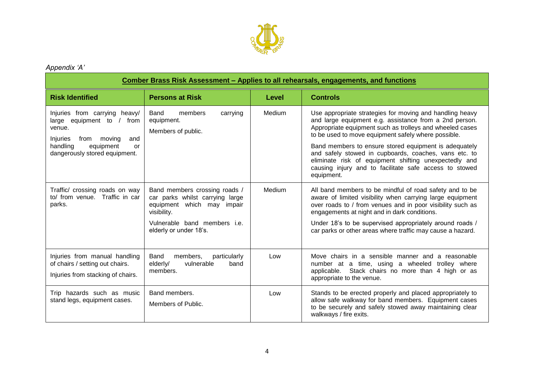

### *Appendix 'A'*

| Comber Brass Risk Assessment - Applies to all rehearsals, engagements, and functions                                                                                   |                                                                                                               |        |                                                                                                                                                                                                                                                 |  |  |  |
|------------------------------------------------------------------------------------------------------------------------------------------------------------------------|---------------------------------------------------------------------------------------------------------------|--------|-------------------------------------------------------------------------------------------------------------------------------------------------------------------------------------------------------------------------------------------------|--|--|--|
| <b>Risk Identified</b>                                                                                                                                                 | <b>Persons at Risk</b>                                                                                        | Level  | <b>Controls</b>                                                                                                                                                                                                                                 |  |  |  |
| Injuries from carrying heavy/<br>large equipment to / from<br>venue.<br>Injuries<br>from moving<br>and<br>handling<br>equipment<br>or<br>dangerously stored equipment. | members<br>carrying<br>Band<br>equipment.<br>Members of public.                                               | Medium | Use appropriate strategies for moving and handling heavy<br>and large equipment e.g. assistance from a 2nd person.<br>Appropriate equipment such as trolleys and wheeled cases<br>to be used to move equipment safely where possible.           |  |  |  |
|                                                                                                                                                                        |                                                                                                               |        | Band members to ensure stored equipment is adequately<br>and safely stowed in cupboards, coaches, vans etc. to<br>eliminate risk of equipment shifting unexpectedly and<br>causing injury and to facilitate safe access to stowed<br>equipment. |  |  |  |
| Traffic/ crossing roads on way<br>to/ from venue. Traffic in car<br>parks.                                                                                             | Band members crossing roads /<br>car parks whilst carrying large<br>equipment which may impair<br>visibility. | Medium | All band members to be mindful of road safety and to be<br>aware of limited visibility when carrying large equipment<br>over roads to / from venues and in poor visibility such as<br>engagements at night and in dark conditions.              |  |  |  |
|                                                                                                                                                                        | Vulnerable band members i.e.<br>elderly or under 18's.                                                        |        | Under 18's to be supervised appropriately around roads /<br>car parks or other areas where traffic may cause a hazard.                                                                                                                          |  |  |  |
| Injuries from manual handling<br>of chairs / setting out chairs.<br>Injuries from stacking of chairs.                                                                  | Band<br>members,<br>particularly<br>elderly/<br>vulnerable<br>band<br>members.                                | Low    | Move chairs in a sensible manner and a reasonable<br>number at a time, using a wheeled trolley where<br>Stack chairs no more than 4 high or as<br>applicable.<br>appropriate to the venue.                                                      |  |  |  |
| Trip hazards such as music<br>stand legs, equipment cases.                                                                                                             | Band members.<br>Members of Public.                                                                           | Low    | Stands to be erected properly and placed appropriately to<br>allow safe walkway for band members. Equipment cases<br>to be securely and safely stowed away maintaining clear<br>walkways / fire exits.                                          |  |  |  |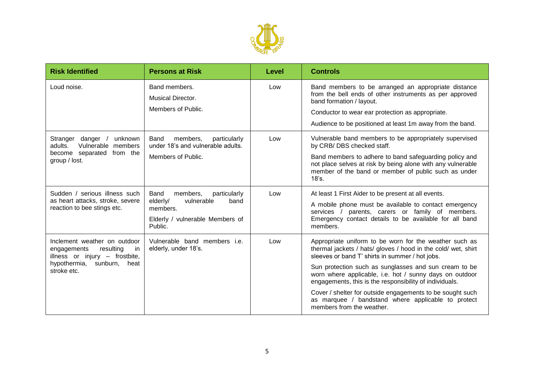

| <b>Risk Identified</b>                                                                                                                         | <b>Persons at Risk</b>                                                         | Level | <b>Controls</b>                                                                                                                                                                           |
|------------------------------------------------------------------------------------------------------------------------------------------------|--------------------------------------------------------------------------------|-------|-------------------------------------------------------------------------------------------------------------------------------------------------------------------------------------------|
| Loud noise.                                                                                                                                    | Band members.<br><b>Musical Director.</b><br>Members of Public.                | Low   | Band members to be arranged an appropriate distance<br>from the bell ends of other instruments as per approved<br>band formation / layout.                                                |
|                                                                                                                                                |                                                                                |       | Conductor to wear ear protection as appropriate.<br>Audience to be positioned at least 1m away from the band.                                                                             |
| Stranger danger /<br>unknown<br>adults.<br>Vulnerable members<br>become separated from the<br>group / lost.                                    | members,<br>particularly<br>Band<br>under 18's and vulnerable adults.          | Low   | Vulnerable band members to be appropriately supervised<br>by CRB/ DBS checked staff.                                                                                                      |
|                                                                                                                                                | Members of Public.                                                             |       | Band members to adhere to band safeguarding policy and<br>not place selves at risk by being alone with any vulnerable<br>member of the band or member of public such as under<br>$18$ 's. |
| Sudden / serious illness such<br>as heart attacks, stroke, severe<br>reaction to bee stings etc.                                               | Band<br>members,<br>particularly<br>vulnerable<br>elderly/<br>band<br>members. | Low   | At least 1 First Aider to be present at all events.                                                                                                                                       |
|                                                                                                                                                |                                                                                |       | A mobile phone must be available to contact emergency<br>parents, carers or family of members.<br>services /<br>Emergency contact details to be available for all band<br>members.        |
|                                                                                                                                                | Elderly / vulnerable Members of<br>Public.                                     |       |                                                                                                                                                                                           |
| Inclement weather on outdoor<br>resulting<br>engagements<br>in.<br>illness or injury - frostbite,<br>hypothermia, sunburn, heat<br>stroke etc. | Vulnerable band members i.e.<br>elderly, under 18's.                           | Low   | Appropriate uniform to be worn for the weather such as<br>thermal jackets / hats/ gloves / hood in the cold/ wet, shirt<br>sleeves or band T' shirts in summer / hot jobs.                |
|                                                                                                                                                |                                                                                |       | Sun protection such as sunglasses and sun cream to be<br>worn where applicable, i.e. hot / sunny days on outdoor<br>engagements, this is the responsibility of individuals.               |
|                                                                                                                                                |                                                                                |       | Cover / shelter for outside engagements to be sought such<br>as marquee / bandstand where applicable to protect<br>members from the weather.                                              |